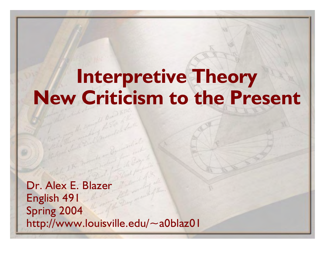## **Interpretive Theory New Criticism to the Present**

Dr. Alex E. Blazer English 491 Spring 2004 http://www.louisville.edu/~a0blaz01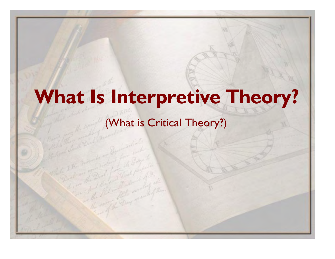## **What Is Interpretive Theory?**

#### (What is Critical Theory?)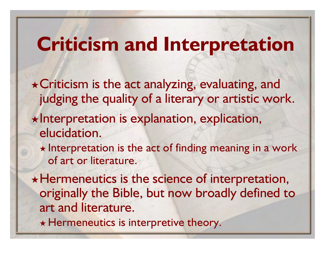## **Criticism and Interpretation**

- \* Criticism is the act analyzing, evaluating, and judging the quality of a literary or artistic work.
- $\star$ Interpretation is explanation, explication, elucidation.
	- $\star$  Interpretation is the act of finding meaning in a work of art or literature.

 $\star$  Hermeneutics is the science of interpretation, originally the Bible, but now broadly defined to art and literature.

 $\star$  Hermeneutics is interpretive theory.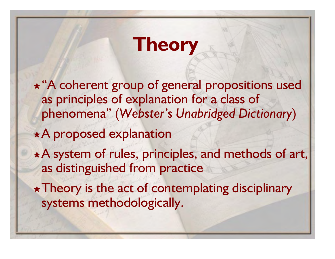## **Theory**

\* "A coherent group of general propositions used as principles of explanation for a class of phenomena" (*Webster's Unabridged Dictionary*)

A proposed explanation

\*A system of rules, principles, and methods of art, as distinguished from practice

 $\star$  Theory is the act of contemplating disciplinary systems methodologically.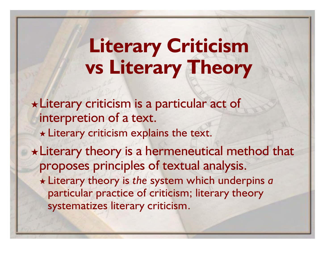## **Literary Criticism vs Literary Theory**

Literary criticism is a particular act of interpretion of a text.  $\star$  Literary criticism explains the text. Literary theory is a hermeneutical method that proposes principles of textual analysis. Literary theory is *the* system which underpins *a* particular practice of criticism; literary theory systematizes literary criticism.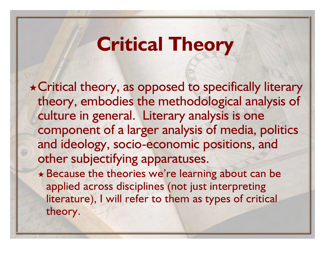## **Critical Theory**

Critical theory, as opposed to specifically literary theory, embodies the methodological analysis of culture in general. Literary analysis is one component of a larger analysis of media, politics and ideology, socio-economic positions, and other subjectifying apparatuses.

\* Because the theories we're learning about can be applied across disciplines (not just interpreting literature), I will refer to them as types of critical theory.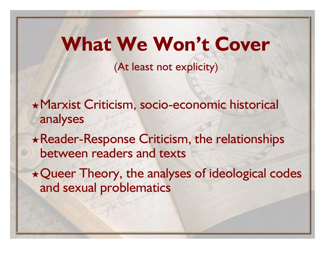## **What We Won't Cover**

(At least not explicity)

Marxist Criticism, socio-economic historical analyses

Reader-Response Criticism, the relationships between readers and texts

\* Queer Theory, the analyses of ideological codes and sexual problematics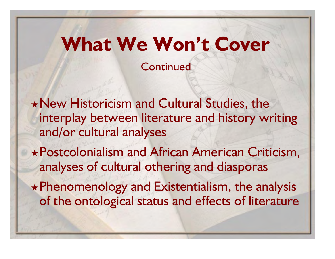# **What We Won't Cover**

**Continued** 

New Historicism and Cultural Studies, the interplay between literature and history writing and/or cultural analyses

Postcolonialism and African American Criticism, analyses of cultural othering and diasporas

Phenomenology and Existentialism, the analysis of the ontological status and effects of literature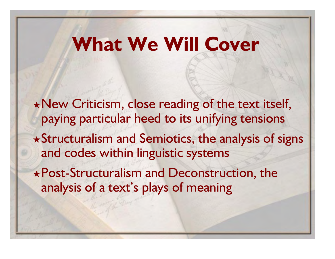## **What We Will Cover**

\* New Criticism, close reading of the text itself, paying particular heed to its unifying tensions Structuralism and Semiotics, the analysis of signs and codes within linguistic systems Post-Structuralism and Deconstruction, the analysis of a text's plays of meaning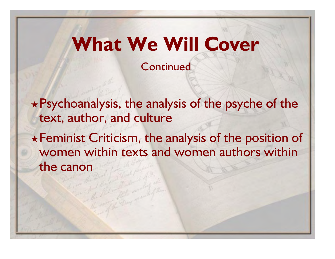## **What We Will Cover**

**Continued** 

Psychoanalysis, the analysis of the psyche of the text, author, and culture

Feminist Criticism, the analysis of the position of women within texts and women authors within the canon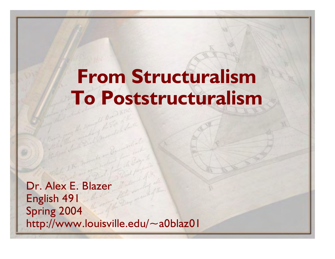## **From Structuralism To Poststructuralism**

Dr. Alex E. Blazer English 491 Spring 2004 http://www.louisville.edu/~a0blaz01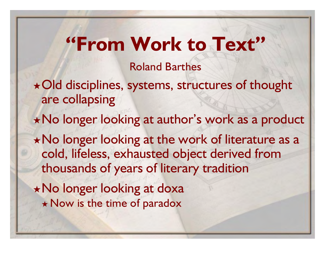## **"From Work to Text"**

Roland Barthes

- Old disciplines, systems, structures of thought are collapsing
- No longer looking at author's work as a product
- \* No longer looking at the work of literature as a cold, lifeless, exhausted object derived from thousands of years of literary tradition
- No longer looking at doxa \* Now is the time of paradox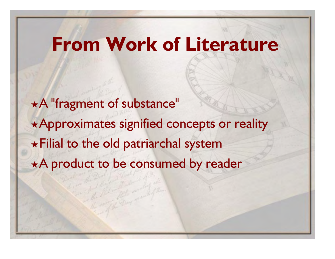### **From Work of Literature**

A "fragment of substance" \*Approximates signified concepts or reality  $\star$  Filial to the old patriarchal system \*A product to be consumed by reader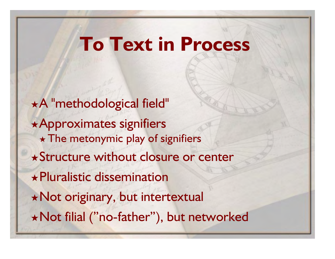## **To Text in Process**

A "methodological field" Approximates signifiers  $\star$  The metonymic play of signifiers Structure without closure or center Pluralistic dissemination Not originary, but intertextual Not filial ("no-father"), but networked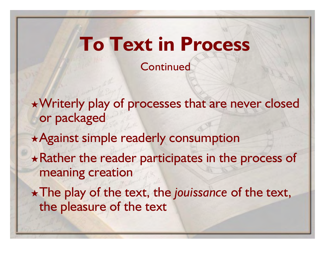## **To Text in Process**

**Continued** 

Writerly play of processes that are never closed or packaged

\* Against simple readerly consumption

 $\star$  Rather the reader participates in the process of meaning creation

The play of the text, the *jouissance* of the text, the pleasure of the text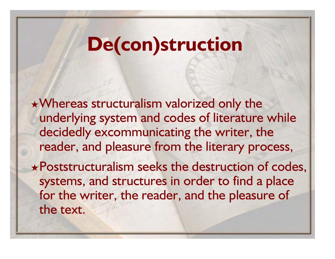## **De(con)struction**

Whereas structuralism valorized only the underlying system and codes of literature while decidedly excommunicating the writer, the reader, and pleasure from the literary process,

Poststructuralism seeks the destruction of codes, systems, and structures in order to find a place for the writer, the reader, and the pleasure of the text.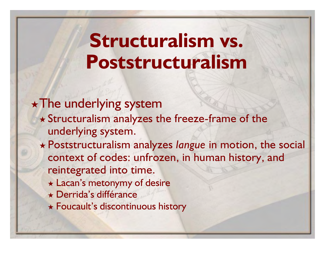## **Structuralism vs. Poststructuralism**

#### $\star$  The underlying system

- Structuralism analyzes the freeze-frame of the underlying system.
- Poststructuralism analyzes *langue* in motion, the social context of codes: unfrozen, in human history, and reintegrated into time.
	- Lacan's metonymy of desire
	- Derrida's différance
	- Foucault's discontinuous history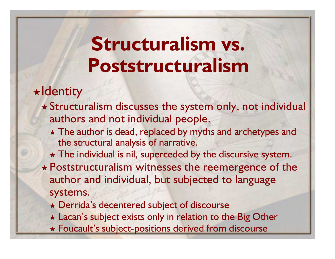## **Structuralism vs. Poststructuralism**

 $\star$ Identity

- Structuralism discusses the system only, not individual authors and not individual people.
	- \* The author is dead, replaced by myths and archetypes and the structural analysis of narrative.
	- $\star$  The individual is nil, superceded by the discursive system.
- $\star$  Poststructuralism witnesses the reemergence of the author and individual, but subjected to language systems.
	- Derrida's decentered subject of discourse
	- \* Lacan's subject exists only in relation to the Big Other
	- Foucault's subject-positions derived from discourse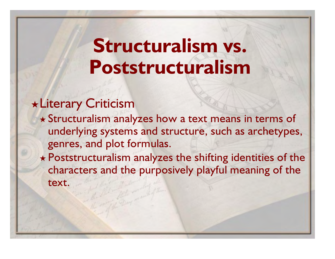## **Structuralism vs. Poststructuralism**

#### Literary Criticism

- Structuralism analyzes how a text means in terms of underlying systems and structure, such as archetypes, genres, and plot formulas.
- \* Poststructuralism analyzes the shifting identities of the characters and the purposively playful meaning of the text.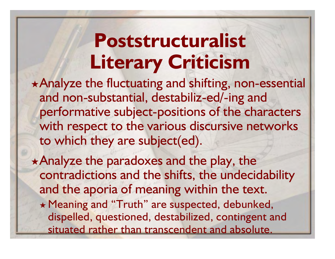## **Poststructuralist Literary Criticism**

Analyze the fluctuating and shifting, non-essential and non-substantial, destabiliz-ed/-ing and performative subject-positions of the characters with respect to the various discursive networks to which they are subject(ed).

\* Analyze the paradoxes and the play, the contradictions and the shifts, the undecidability and the aporia of meaning within the text. Meaning and "Truth" are suspected, debunked, dispelled, questioned, destabilized, contingent and situated rather than transcendent and absolute.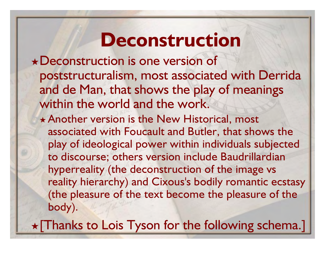### **Deconstruction**

Deconstruction is one version of poststructuralism, most associated with Derrida and de Man, that shows the play of meanings within the world and the work.

\* Another version is the New Historical, most associated with Foucault and Butler, that shows the play of ideological power within individuals subjected to discourse; others version include Baudrillardian hyperreality (the deconstruction of the image vs reality hierarchy) and Cixous's bodily romantic ecstasy (the pleasure of the text become the pleasure of the body).

 $\star$  [Thanks to Lois Tyson for the following schema.]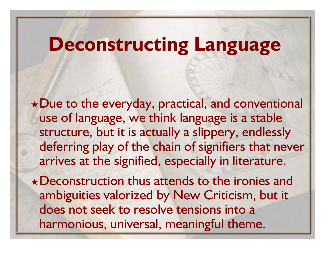## **Deconstructing Language**

Due to the everyday, practical, and conventional use of language, we think language is a stable structure, but it is actually a slippery, endlessly deferring play of the chain of signifiers that never arrives at the signified, especially in literature.

\*Deconstruction thus attends to the ironies and ambiguities valorized by New Criticism, but it does not seek to resolve tensions into a harmonious, universal, meaningful theme.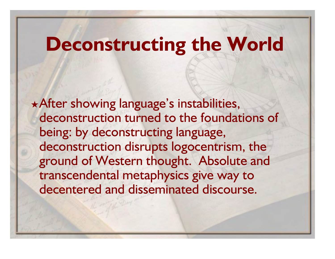## **Deconstructing the World**

\* After showing language's instabilities, deconstruction turned to the foundations of being: by deconstructing language, deconstruction disrupts logocentrism, the ground of Western thought. Absolute and transcendental metaphysics give way to decentered and disseminated discourse.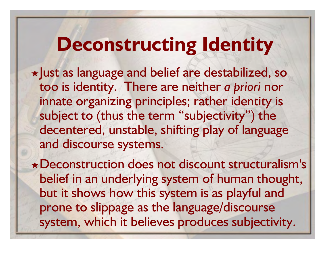## **Deconstructing Identity**

 $\star$  Just as language and belief are destabilized, so too is identity. There are neither *a priori* nor innate organizing principles; rather identity is subject to (thus the term "subjectivity") the decentered, unstable, shifting play of language and discourse systems.

Deconstruction does not discount structuralism's belief in an underlying system of human thought, but it shows how this system is as playful and prone to slippage as the language/discourse system, which it believes produces subjectivity.